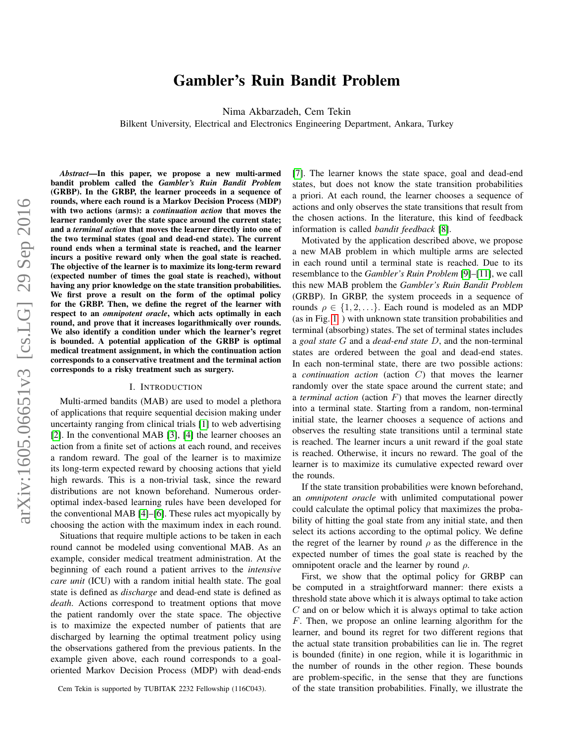# Gambler's Ruin Bandit Problem

Nima Akbarzadeh, Cem Tekin

Bilkent University, Electrical and Electronics Engineering Department, Ankara, Turkey

*Abstract*—In this paper, we propose a new multi-armed bandit problem called the *Gambler's Ruin Bandit Problem* (GRBP). In the GRBP, the learner proceeds in a sequence of rounds, where each round is a Markov Decision Process (MDP) with two actions (arms): a *continuation action* that moves the learner randomly over the state space around the current state; and a *terminal action* that moves the learner directly into one of the two terminal states (goal and dead-end state). The current round ends when a terminal state is reached, and the learner incurs a positive reward only when the goal state is reached. The objective of the learner is to maximize its long-term reward (expected number of times the goal state is reached), without having any prior knowledge on the state transition probabilities. We first prove a result on the form of the optimal policy for the GRBP. Then, we define the regret of the learner with respect to an *omnipotent oracle*, which acts optimally in each round, and prove that it increases logarithmically over rounds. We also identify a condition under which the learner's regret is bounded. A potential application of the GRBP is optimal medical treatment assignment, in which the continuation action corresponds to a conservative treatment and the terminal action corresponds to a risky treatment such as surgery.

#### I. INTRODUCTION

Multi-armed bandits (MAB) are used to model a plethora of applications that require sequential decision making under uncertainty ranging from clinical trials [\[1\]](#page-12-0) to web advertising [\[2\]](#page-12-1). In the conventional MAB [\[3\]](#page-12-2), [\[4\]](#page-12-3) the learner chooses an action from a finite set of actions at each round, and receives a random reward. The goal of the learner is to maximize its long-term expected reward by choosing actions that yield high rewards. This is a non-trivial task, since the reward distributions are not known beforehand. Numerous orderoptimal index-based learning rules have been developed for the conventional MAB [\[4\]](#page-12-3)–[\[6\]](#page-12-4). These rules act myopically by choosing the action with the maximum index in each round.

Situations that require multiple actions to be taken in each round cannot be modeled using conventional MAB. As an example, consider medical treatment administration. At the beginning of each round a patient arrives to the *intensive care unit* (ICU) with a random initial health state. The goal state is defined as *discharge* and dead-end state is defined as *death*. Actions correspond to treatment options that move the patient randomly over the state space. The objective is to maximize the expected number of patients that are discharged by learning the optimal treatment policy using the observations gathered from the previous patients. In the example given above, each round corresponds to a goaloriented Markov Decision Process (MDP) with dead-ends [\[7\]](#page-12-5). The learner knows the state space, goal and dead-end states, but does not know the state transition probabilities a priori. At each round, the learner chooses a sequence of actions and only observes the state transitions that result from the chosen actions. In the literature, this kind of feedback information is called *bandit feedback* [\[8\]](#page-12-6).

Motivated by the application described above, we propose a new MAB problem in which multiple arms are selected in each round until a terminal state is reached. Due to its resemblance to the *Gambler's Ruin Problem* [\[9\]](#page-12-7)–[\[11\]](#page-12-8), we call this new MAB problem the *Gambler's Ruin Bandit Problem* (GRBP). In GRBP, the system proceeds in a sequence of rounds  $\rho \in \{1, 2, \ldots\}$ . Each round is modeled as an MDP (as in Fig. [1](#page-1-0) ) with unknown state transition probabilities and terminal (absorbing) states. The set of terminal states includes a *goal state* G and a *dead-end state* D, and the non-terminal states are ordered between the goal and dead-end states. In each non-terminal state, there are two possible actions: a *continuation action* (action C) that moves the learner randomly over the state space around the current state; and a *terminal action* (action  $F$ ) that moves the learner directly into a terminal state. Starting from a random, non-terminal initial state, the learner chooses a sequence of actions and observes the resulting state transitions until a terminal state is reached. The learner incurs a unit reward if the goal state is reached. Otherwise, it incurs no reward. The goal of the learner is to maximize its cumulative expected reward over the rounds.

If the state transition probabilities were known beforehand, an *omnipotent oracle* with unlimited computational power could calculate the optimal policy that maximizes the probability of hitting the goal state from any initial state, and then select its actions according to the optimal policy. We define the regret of the learner by round  $\rho$  as the difference in the expected number of times the goal state is reached by the omnipotent oracle and the learner by round  $\rho$ .

First, we show that the optimal policy for GRBP can be computed in a straightforward manner: there exists a threshold state above which it is always optimal to take action  $C$  and on or below which it is always optimal to take action F. Then, we propose an online learning algorithm for the learner, and bound its regret for two different regions that the actual state transition probabilities can lie in. The regret is bounded (finite) in one region, while it is logarithmic in the number of rounds in the other region. These bounds are problem-specific, in the sense that they are functions of the state transition probabilities. Finally, we illustrate the

Cem Tekin is supported by TUBITAK 2232 Fellowship (116C043).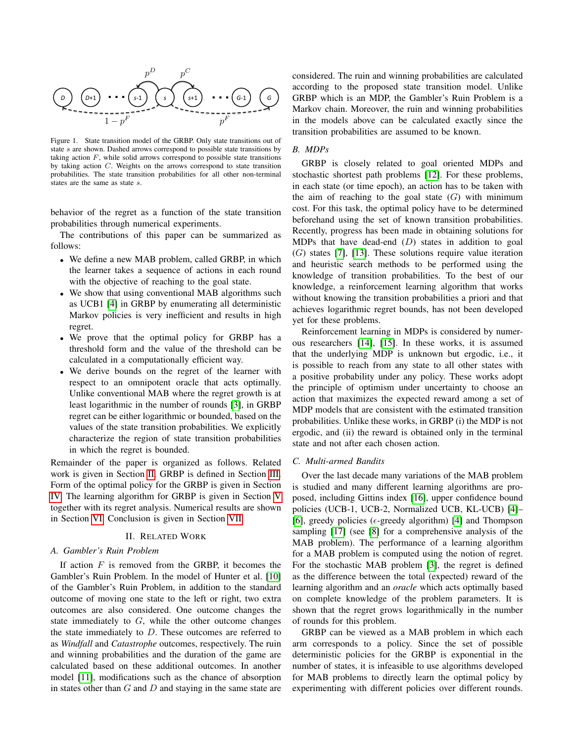

<span id="page-1-0"></span>Figure 1. State transition model of the GRBP. Only state transitions out of state s are shown. Dashed arrows correspond to possible state transitions by taking action  $F$ , while solid arrows correspond to possible state transitions by taking action C. Weights on the arrows correspond to state transition probabilities. The state transition probabilities for all other non-terminal states are the same as state s.

behavior of the regret as a function of the state transition probabilities through numerical experiments.

The contributions of this paper can be summarized as follows:

- We define a new MAB problem, called GRBP, in which the learner takes a sequence of actions in each round with the objective of reaching to the goal state.
- We show that using conventional MAB algorithms such as UCB1 [\[4\]](#page-12-3) in GRBP by enumerating all deterministic Markov policies is very inefficient and results in high regret.
- We prove that the optimal policy for GRBP has a threshold form and the value of the threshold can be calculated in a computationally efficient way.
- We derive bounds on the regret of the learner with respect to an omnipotent oracle that acts optimally. Unlike conventional MAB where the regret growth is at least logarithmic in the number of rounds [\[3\]](#page-12-2), in GRBP regret can be either logarithmic or bounded, based on the values of the state transition probabilities. We explicitly characterize the region of state transition probabilities in which the regret is bounded.

Remainder of the paper is organized as follows. Related work is given in Section [II.](#page-1-1) GRBP is defined in Section [III.](#page-2-0) Form of the optimal policy for the GRBP is given in Section [IV.](#page-3-0) The learning algorithm for GRBP is given in Section [V](#page-5-0) together with its regret analysis. Numerical results are shown in Section [VI.](#page-11-0) Conclusion is given in Section [VII.](#page-12-9)

# II. RELATED WORK

# <span id="page-1-1"></span>*A. Gambler's Ruin Problem*

If action  $F$  is removed from the GRBP, it becomes the Gambler's Ruin Problem. In the model of Hunter et al. [\[10\]](#page-12-10) of the Gambler's Ruin Problem, in addition to the standard outcome of moving one state to the left or right, two extra outcomes are also considered. One outcome changes the state immediately to G, while the other outcome changes the state immediately to  $D$ . These outcomes are referred to as *Windfall* and *Catastrophe* outcomes, respectively. The ruin and winning probabilities and the duration of the game are calculated based on these additional outcomes. In another model [\[11\]](#page-12-8), modifications such as the chance of absorption in states other than  $G$  and  $D$  and staying in the same state are

considered. The ruin and winning probabilities are calculated according to the proposed state transition model. Unlike GRBP which is an MDP, the Gambler's Ruin Problem is a Markov chain. Moreover, the ruin and winning probabilities in the models above can be calculated exactly since the transition probabilities are assumed to be known.

# *B. MDPs*

GRBP is closely related to goal oriented MDPs and stochastic shortest path problems [\[12\]](#page-12-11). For these problems, in each state (or time epoch), an action has to be taken with the aim of reaching to the goal state  $(G)$  with minimum cost. For this task, the optimal policy have to be determined beforehand using the set of known transition probabilities. Recently, progress has been made in obtaining solutions for MDPs that have dead-end  $(D)$  states in addition to goal  $(G)$  states [\[7\]](#page-12-5), [\[13\]](#page-12-12). These solutions require value iteration and heuristic search methods to be performed using the knowledge of transition probabilities. To the best of our knowledge, a reinforcement learning algorithm that works without knowing the transition probabilities a priori and that achieves logarithmic regret bounds, has not been developed yet for these problems.

Reinforcement learning in MDPs is considered by numerous researchers [\[14\]](#page-12-13), [\[15\]](#page-12-14). In these works, it is assumed that the underlying MDP is unknown but ergodic, i.e., it is possible to reach from any state to all other states with a positive probability under any policy. These works adopt the principle of optimism under uncertainty to choose an action that maximizes the expected reward among a set of MDP models that are consistent with the estimated transition probabilities. Unlike these works, in GRBP (i) the MDP is not ergodic, and (ii) the reward is obtained only in the terminal state and not after each chosen action.

#### *C. Multi-armed Bandits*

Over the last decade many variations of the MAB problem is studied and many different learning algorithms are proposed, including Gittins index [\[16\]](#page-12-15), upper confidence bound policies (UCB-1, UCB-2, Normalized UCB, KL-UCB) [\[4\]](#page-12-3)– [\[6\]](#page-12-4), greedy policies ( $\epsilon$ -greedy algorithm) [\[4\]](#page-12-3) and Thompson sampling [\[17\]](#page-12-16) (see [\[8\]](#page-12-6) for a comprehensive analysis of the MAB problem). The performance of a learning algorithm for a MAB problem is computed using the notion of regret. For the stochastic MAB problem [\[3\]](#page-12-2), the regret is defined as the difference between the total (expected) reward of the learning algorithm and an *oracle* which acts optimally based on complete knowledge of the problem parameters. It is shown that the regret grows logarithmically in the number of rounds for this problem.

GRBP can be viewed as a MAB problem in which each arm corresponds to a policy. Since the set of possible deterministic policies for the GRBP is exponential in the number of states, it is infeasible to use algorithms developed for MAB problems to directly learn the optimal policy by experimenting with different policies over different rounds.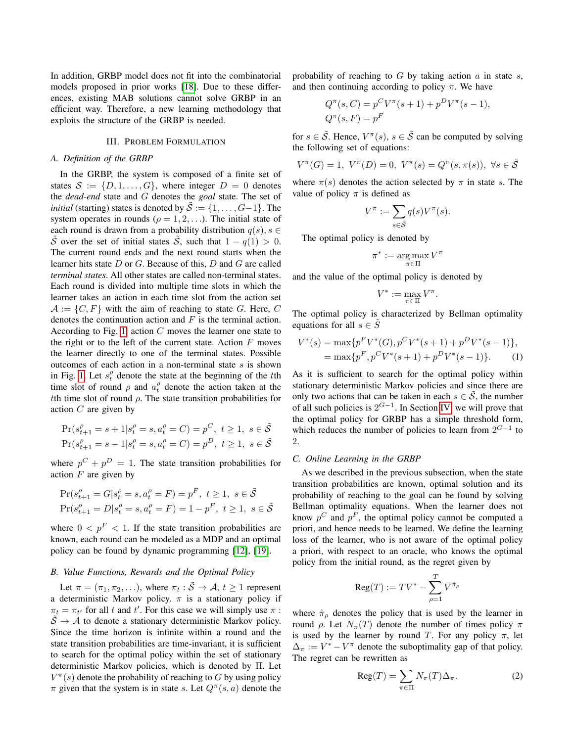In addition, GRBP model does not fit into the combinatorial models proposed in prior works [\[18\]](#page-12-17). Due to these differences, existing MAB solutions cannot solve GRBP in an efficient way. Therefore, a new learning methodology that exploits the structure of the GRBP is needed.

# III. PROBLEM FORMULATION

#### <span id="page-2-0"></span>*A. Definition of the GRBP*

In the GRBP, the system is composed of a finite set of states  $S := \{D, 1, \ldots, G\}$ , where integer  $D = 0$  denotes the *dead-end* state and G denotes the *goal* state. The set of *initial* (starting) states is denoted by  $\mathcal{S} := \{1, \ldots, G-1\}$ . The system operates in rounds ( $\rho = 1, 2, \ldots$ ). The initial state of each round is drawn from a probability distribution  $q(s)$ ,  $s \in$  $\tilde{\mathcal{S}}$  over the set of initial states  $\tilde{\mathcal{S}}$ , such that  $1 - q(1) > 0$ . The current round ends and the next round starts when the learner hits state  $D$  or  $G$ . Because of this,  $D$  and  $G$  are called *terminal states*. All other states are called non-terminal states. Each round is divided into multiple time slots in which the learner takes an action in each time slot from the action set  $\mathcal{A} := \{C, F\}$  with the aim of reaching to state G. Here, C denotes the continuation action and  $F$  is the terminal action. According to Fig. [1,](#page-1-0) action  $C$  moves the learner one state to the right or to the left of the current state. Action  $F$  moves the learner directly to one of the terminal states. Possible outcomes of each action in a non-terminal state  $s$  is shown in Fig. [1.](#page-1-0) Let  $s_t^{\rho}$  denote the state at the beginning of the tth time slot of round  $\rho$  and  $a_t^{\rho}$  denote the action taken at the tth time slot of round  $\rho$ . The state transition probabilities for action  $C$  are given by

$$
\begin{aligned} &\Pr(s_{t+1}^\rho = s+1 | s_t^\rho = s, a_t^\rho = C) = p^C, \ t \geq 1, \ s \in \tilde{\mathcal{S}} \\ &\Pr(s_{t+1}^\rho = s-1 | s_t^\rho = s, a_t^\rho = C) = p^D, \ t \geq 1, \ s \in \tilde{\mathcal{S}} \end{aligned}
$$

where  $p^{C} + p^{D} = 1$ . The state transition probabilities for action  $F$  are given by

$$
\Pr(s_{t+1}^{\rho} = G | s_t^{\rho} = s, a_t^{\rho} = F) = p^F, \ t \ge 1, \ s \in \tilde{S}
$$
  

$$
\Pr(s_{t+1}^{\rho} = D | s_t^{\rho} = s, a_t^{\rho} = F) = 1 - p^F, \ t \ge 1, \ s \in \tilde{S}
$$

where  $0 < p<sup>F</sup> < 1$ . If the state transition probabilities are known, each round can be modeled as a MDP and an optimal policy can be found by dynamic programming [\[12\]](#page-12-11), [\[19\]](#page-12-18).

# *B. Value Functions, Rewards and the Optimal Policy*

Let  $\pi = (\pi_1, \pi_2, \ldots)$ , where  $\pi_t : \tilde{S} \to A$ ,  $t \ge 1$  represent a deterministic Markov policy.  $\pi$  is a stationary policy if  $\pi_t = \pi_{t'}$  for all t and t'. For this case we will simply use  $\pi$ :  $\tilde{\mathcal{S}} \to \mathcal{A}$  to denote a stationary deterministic Markov policy. Since the time horizon is infinite within a round and the state transition probabilities are time-invariant, it is sufficient to search for the optimal policy within the set of stationary deterministic Markov policies, which is denoted by Π. Let  $V^{\pi}(s)$  denote the probability of reaching to G by using policy  $\pi$  given that the system is in state s. Let  $Q^{\pi}(s, a)$  denote the probability of reaching to  $G$  by taking action  $a$  in state  $s$ , and then continuing according to policy  $\pi$ . We have

$$
Q^{\pi}(s, C) = p^{C}V^{\pi}(s+1) + p^{D}V^{\pi}(s-1),
$$
  

$$
Q^{\pi}(s, F) = p^{F}
$$

for  $s \in \tilde{S}$ . Hence,  $V^{\pi}(s)$ ,  $s \in \tilde{S}$  can be computed by solving the following set of equations:

$$
V^{\pi}(G) = 1, \ V^{\pi}(D) = 0, \ V^{\pi}(s) = Q^{\pi}(s, \pi(s)), \ \forall s \in \tilde{S}
$$

where  $\pi(s)$  denotes the action selected by  $\pi$  in state s. The value of policy  $\pi$  is defined as

$$
V^{\pi} := \sum_{s \in \tilde{S}} q(s) V^{\pi}(s).
$$

The optimal policy is denoted by

<span id="page-2-1"></span>
$$
\pi^* := \argmax_{\pi \in \Pi} V^{\pi}
$$

and the value of the optimal policy is denoted by

$$
V^* := \max_{\pi \in \Pi} V^{\pi}.
$$

The optimal policy is characterized by Bellman optimality equations for all  $s \in \tilde{S}$ 

$$
V^*(s) = \max\{p^F V^*(G), p^C V^*(s+1) + p^D V^*(s-1)\},
$$
  
= 
$$
\max\{p^F, p^C V^*(s+1) + p^D V^*(s-1)\}.
$$
 (1)

As it is sufficient to search for the optimal policy within stationary deterministic Markov policies and since there are only two actions that can be taken in each  $s \in \tilde{S}$ , the number of all such policies is  $2^{G-1}$ . In Section [IV,](#page-3-0) we will prove that the optimal policy for GRBP has a simple threshold form, which reduces the number of policies to learn from  $2^{G-1}$  to 2.

#### *C. Online Learning in the GRBP*

As we described in the previous subsection, when the state transition probabilities are known, optimal solution and its probability of reaching to the goal can be found by solving Bellman optimality equations. When the learner does not know  $p^C$  and  $p^F$ , the optimal policy cannot be computed a priori, and hence needs to be learned. We define the learning loss of the learner, who is not aware of the optimal policy a priori, with respect to an oracle, who knows the optimal policy from the initial round, as the regret given by

$$
\text{Reg}(T) := TV^* - \sum_{\rho=1}^T V^{\hat{\pi}_{\rho}}
$$

where  $\hat{\pi}_{\rho}$  denotes the policy that is used by the learner in round ρ. Let  $N_{\pi}(T)$  denote the number of times policy π is used by the learner by round T. For any policy  $\pi$ , let  $\Delta_{\pi} := V^* - V^{\pi}$  denote the suboptimality gap of that policy. The regret can be rewritten as

<span id="page-2-2"></span>
$$
Reg(T) = \sum_{\pi \in \Pi} N_{\pi}(T)\Delta_{\pi}.
$$
 (2)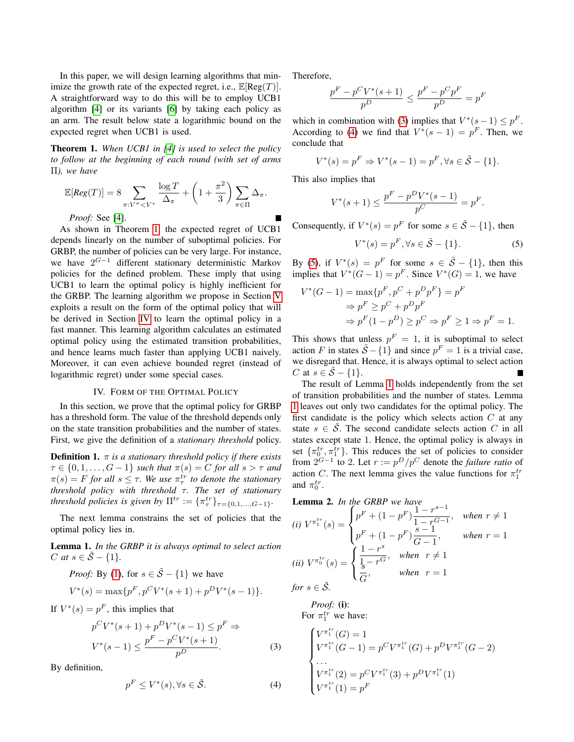In this paper, we will design learning algorithms that minimize the growth rate of the expected regret, i.e.,  $\mathbb{E}[\text{Reg}(T)].$ A straightforward way to do this will be to employ UCB1 algorithm [\[4\]](#page-12-3) or its variants [\[6\]](#page-12-4) by taking each policy as an arm. The result below state a logarithmic bound on the expected regret when UCB1 is used.

<span id="page-3-1"></span>Theorem 1. *When UCB1 in [\[4\]](#page-12-3) is used to select the policy to follow at the beginning of each round (with set of arms* Π*), we have*

$$
\mathbb{E}[Reg(T)] = 8 \sum_{\pi: V^{\pi} < V^*} \frac{\log T}{\Delta_{\pi}} + \left(1 + \frac{\pi^2}{3}\right) \sum_{\pi \in \Pi} \Delta_{\pi}.
$$
\n*Proof:* See [4].

As shown in Theorem [1,](#page-3-1) the expected regret of UCB1 depends linearly on the number of suboptimal policies. For GRBP, the number of policies can be very large. For instance, we have  $2^{G-1}$  different stationary deterministic Markov policies for the defined problem. These imply that using UCB1 to learn the optimal policy is highly inefficient for the GRBP. The learning algorithm we propose in Section [V](#page-5-0) exploits a result on the form of the optimal policy that will be derived in Section [IV](#page-3-0) to learn the optimal policy in a fast manner. This learning algorithm calculates an estimated optimal policy using the estimated transition probabilities, and hence learns much faster than applying UCB1 naively. Moreover, it can even achieve bounded regret (instead of logarithmic regret) under some special cases.

#### IV. FORM OF THE OPTIMAL POLICY

<span id="page-3-0"></span>In this section, we prove that the optimal policy for GRBP has a threshold form. The value of the threshold depends only on the state transition probabilities and the number of states. First, we give the definition of a *stationary threshold* policy.

**Definition 1.**  $\pi$  *is a stationary threshold policy if there exists*  $\tau \in \{0, 1, \ldots, G - 1\}$  *such that*  $\pi(s) = C$  *for all*  $s > \tau$  *and*  $\pi(s) = F$  for all  $s \leq \tau$ . We use  $\pi^{tr}_{\tau}$  to denote the stationary *threshold policy with threshold τ. The set of stationary threshold policies is given by*  $\Pi^{tr} := {\pi_r^{tr}}_{\tau \in \{0,1,\ldots,G-1\}}$ *.* 

The next lemma constrains the set of policies that the optimal policy lies in.

<span id="page-3-5"></span>Lemma 1. *In the GRBP it is always optimal to select action C* at  $s \in \tilde{S} - \{1\}$ .

*Proof:* By [\(1\)](#page-2-1), for  $s \in \tilde{S} - \{1\}$  we have

$$
V^*(s) = \max\{p^F, p^CV^*(s+1) + p^DV^*(s-1)\}.
$$

If  $V^*(s) = p^F$ , this implies that

$$
p^{C}V^{*}(s+1) + p^{D}V^{*}(s-1) \le p^{F} \Rightarrow
$$
  

$$
V^{*}(s-1) \le \frac{p^{F} - p^{C}V^{*}(s+1)}{p^{D}}.
$$
 (3)

By definition,

$$
p^F \le V^*(s), \forall s \in \tilde{\mathcal{S}}.\tag{4}
$$

Therefore,

$$
\frac{p^F - p^C V^*(s+1)}{p^D} \leq \frac{p^F - p^C p^F}{p^D} = p^F
$$

which in combination with [\(3\)](#page-3-2) implies that  $V^*(s-1) \leq p^F$ . According to [\(4\)](#page-3-3) we find that  $V^*(s-1) = p^F$ . Then, we conclude that

$$
V^*(s) = p^F \Rightarrow V^*(s - 1) = p^F, \forall s \in \tilde{S} - \{1\}.
$$

This also implies that

<span id="page-3-4"></span>
$$
V^*(s+1) \le \frac{p^F - p^D V^*(s-1)}{p^C} = p^F.
$$

Consequently, if  $V^*(s) = p^F$  for some  $s \in \tilde{S} - \{1\}$ , then

$$
V^*(s) = p^F, \forall s \in \tilde{S} - \{1\}.
$$
 (5)

By [\(5\)](#page-3-4), if  $V^*(s) = p^F$  for some  $s \in \tilde{S} - \{1\}$ , then this implies that  $V^*(G-1) = p^F$ . Since  $V^*(G) = 1$ , we have

$$
V^*(G-1) = \max\{p^F, p^C + p^D p^F\} = p^F
$$
  
\n
$$
\Rightarrow p^F \ge p^C + p^D p^F
$$
  
\n
$$
\Rightarrow p^F (1 - p^D) \ge p^C \Rightarrow p^F \ge 1 \Rightarrow p^F = 1.
$$

This shows that unless  $p^F = 1$ , it is suboptimal to select action F in states  $\tilde{S} - \{1\}$  and since  $p^F = 1$  is a trivial case, we disregard that. Hence, it is always optimal to select action C at  $s \in \tilde{S} - \{1\}.$ 

The result of Lemma [1](#page-3-5) holds independently from the set of transition probabilities and the number of states. Lemma [1](#page-3-5) leaves out only two candidates for the optimal policy. The first candidate is the policy which selects action  $C$  at any state  $s \in \mathcal{S}$ . The second candidate selects action C in all states except state 1. Hence, the optimal policy is always in set  $\{\pi_0^{tr}, \pi_1^{tr}\}$ . This reduces the set of policies to consider from  $2^{G-1}$  to 2. Let  $r := p^D/p^C$  denote the *failure ratio* of action C. The next lemma gives the value functions for  $\pi_1^{tr}$ and  $\pi_0^{tr}$ .

<span id="page-3-6"></span>**Lemma 2.** In the GRBP we have  
\n(i) 
$$
V^{\pi_1^{tr}}(s) = \begin{cases} p^F + (1 - p^F) \frac{1 - r^{s-1}}{1 - r^{G-1}}, & when \ r \neq 1 \\ p^F + (1 - p^F) \frac{s-1}{G-1}, & when \ r = 1 \end{cases}
$$
  
\n(ii)  $V^{\pi_0^{tr}}(s) = \begin{cases} \frac{1 - r^s}{\frac{1}{s} - r^G}, & when \ r \neq 1 \\ \frac{s}{G}, & when \ r = 1 \end{cases}$   
\nfor  $s \in \tilde{S}$ .

*Proof:* (i): For  $\pi_1^{tr}$  we have:

<span id="page-3-3"></span><span id="page-3-2"></span>
$$
\begin{cases}\nV^{\pi_1^{tr}}(G) = 1 \\
V^{\pi_1^{tr}}(G - 1) = p^C V^{\pi_1^{tr}}(G) + p^D V^{\pi_1^{tr}}(G - 2) \\
\cdots \\
V^{\pi_1^{tr}}(2) = p^C V^{\pi_1^{tr}}(3) + p^D V^{\pi_1^{tr}}(1) \\
V^{\pi_1^{tr}}(1) = p^F\n\end{cases}
$$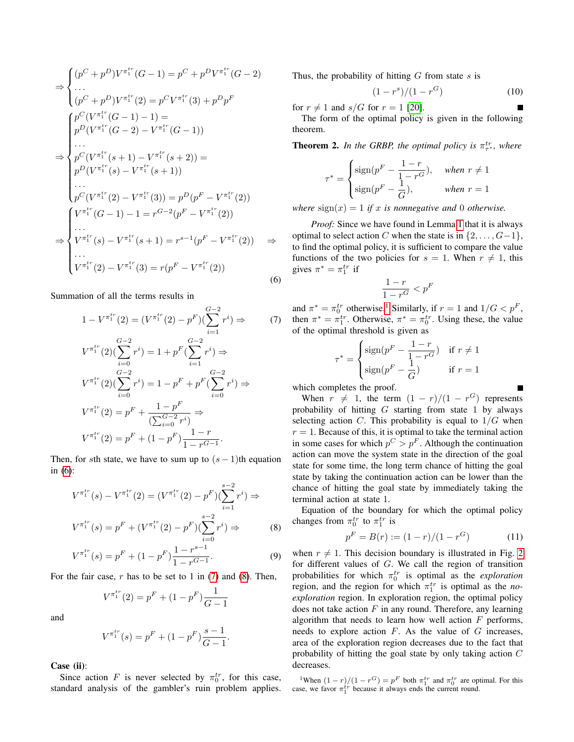$$
\Rightarrow \begin{cases}\n(p^{C} + p^{D})V^{\pi_{1}^{tr}}(G - 1) = p^{C} + p^{D}V^{\pi_{1}^{tr}}(G - 2) \\
\cdots \\
(p^{C} + p^{D})V^{\pi_{1}^{tr}}(2) = p^{C}V^{\pi_{1}^{tr}}(3) + p^{D}p^{F}\n\end{cases}
$$
\n
$$
\Rightarrow \begin{cases}\np^{C}(V^{\pi_{1}^{tr}}(G - 1) - 1) = \\
p^{D}(V^{\pi_{1}^{tr}}(G - 2) - V^{\pi_{1}^{tr}}(G - 1)) \\
\cdots \\
p^{C}(V^{\pi_{1}^{tr}}(s + 1) - V^{\pi_{1}^{tr}}(s + 2)) = \\
p^{D}(V^{\pi_{1}^{tr}}(s) - V^{\pi_{1}^{tr}}(s + 1)) \\
\cdots \\
p^{C}(V^{\pi_{1}^{tr}}(2) - V^{\pi_{1}^{tr}}(3)) = p^{D}(p^{F} - V^{\pi_{1}^{tr}}(2)) \\
\cdots \\
V^{\pi_{1}^{tr}}(G - 1) - 1 = r^{G-2}(p^{F} - V^{\pi_{1}^{tr}}(2)) \\
\cdots \\
V^{\pi_{1}^{tr}}(s) - V^{\pi_{1}^{tr}}(s + 1) = r^{s-1}(p^{F} - V^{\pi_{1}^{tr}}(2)) \\
\cdots \\
V^{\pi_{1}^{tr}}(2) - V^{\pi_{1}^{tr}}(3) = r(p^{F} - V^{\pi_{1}^{tr}}(2))\n\end{cases}
$$
\n(6)

Summation of all the terms results in

$$
1 - V^{\pi_1^{tr}}(2) = (V^{\pi_1^{tr}}(2) - p^F)(\sum_{i=1}^{G-2} r^i) \Rightarrow
$$
  
\n
$$
V^{\pi_1^{tr}}(2)(\sum_{i=0}^{G-2} r^i) = 1 + p^F(\sum_{i=1}^{G-2} r^i) \Rightarrow
$$
  
\n
$$
V^{\pi_1^{tr}}(2)(\sum_{i=0}^{G-2} r^i) = 1 - p^F + p^F(\sum_{i=0}^{G-2} r^i) \Rightarrow
$$
  
\n
$$
V^{\pi_1^{tr}}(2) = p^F + \frac{1 - p^F}{(\sum_{i=0}^{G-2} r^i)} \Rightarrow
$$
  
\n
$$
V^{\pi_1^{tr}}(2) = p^F + (1 - p^F)\frac{1 - r}{1 - r^{G-1}}.
$$

Then, for sth state, we have to sum up to  $(s - 1)$ th equation in [\(6\)](#page-4-0):

$$
V^{\pi_1^{tr}}(s) - V^{\pi_1^{tr}}(2) = (V^{\pi_1^{tr}}(2) - p^F)(\sum_{i=1}^{s-2} r^i) \Rightarrow
$$
  

$$
V^{\pi_1^{tr}}(s) = p^F + (V^{\pi_1^{tr}}(2) - p^F)(\sum_{i=0}^{s-2} r^i) \Rightarrow
$$
 (8)

$$
V^{\pi_1^{tr}}(s) = p^F + (1 - p^F) \frac{1 - r^{s-1}}{1 - r^{G-1}}.
$$
\n(9)

For the fair case,  $r$  has to be set to 1 in [\(7\)](#page-4-1) and [\(8\)](#page-4-2). Then,

$$
V^{\pi_1^{tr}}(2) = p^F + (1 - p^F) \frac{1}{G - 1}
$$

and

$$
V^{\pi_1^{tr}}(s) = p^F + (1 - p^F) \frac{s - 1}{G - 1}.
$$

Case (ii):

Since action F is never selected by  $\pi_0^{tr}$ , for this case, standard analysis of the gambler's ruin problem applies. Thus, the probability of hitting  $G$  from state  $s$  is

$$
(1 - r^s)/(1 - r^G) \tag{10}
$$

for  $r \neq 1$  and  $s/G$  for  $r = 1$  [\[20\]](#page-12-19).

The form of the optimal policy is given in the following theorem.

<span id="page-4-4"></span>**Theorem 2.** In the GRBP, the optimal policy is  $\pi^{tr}_{\tau}$ , where

<span id="page-4-5"></span>
$$
\tau^* = \begin{cases} \text{sign}(p^F - \frac{1-r}{1-r^G}), & \text{when } r \neq 1\\ \text{sign}(p^F - \frac{1}{G}), & \text{when } r = 1 \end{cases}
$$

*where*  $sign(x) = 1$  *if* x *is nonnegative and* 0 *otherwise.* 

*Proof:* Since we have found in Lemma [1](#page-3-5) that it is always optimal to select action C when the state is in  $\{2, \ldots, G-1\}$ , to find the optimal policy, it is sufficient to compare the value functions of the two policies for  $s = 1$ . When  $r \neq 1$ , this gives  $\pi^* = \pi_1^{tr}$  if

$$
\frac{1-r}{1-r^G} < p^F
$$

<span id="page-4-1"></span><span id="page-4-0"></span> $(7)$  then  $\pi^* = \pi_1^{tr}$ . Otherwise,  $\pi^* = \pi_0^{tr}$ . Using these, the value and  $\pi^* = \pi_0^{tr}$  otherwise.<sup>[1](#page-4-3)</sup> Similarly, if  $r = 1$  and  $1/G < p^F$ , of the optimal threshold is given as

$$
\tau^* = \begin{cases} \text{sign}(p^F - \frac{1-r}{1-r^G}) & \text{if } r \neq 1\\ \text{sign}(p^F - \frac{1}{G}) & \text{if } r = 1 \end{cases}
$$

which completes the proof.

When  $r \neq 1$ , the term  $(1 - r)/(1 - r^G)$  represents probability of hitting  $G$  starting from state 1 by always selecting action C. This probability is equal to  $1/G$  when  $r = 1$ . Because of this, it is optimal to take the terminal action in some cases for which  $p^C > p^F$ . Although the continuation action can move the system state in the direction of the goal state for some time, the long term chance of hitting the goal state by taking the continuation action can be lower than the chance of hitting the goal state by immediately taking the terminal action at state 1.

<span id="page-4-2"></span>Equation of the boundary for which the optimal policy changes from  $\pi_0^{tr}$  to  $\pi_1^{tr}$  is

$$
p^{F} = B(r) := (1 - r)/(1 - r^{G})
$$
 (11)

when  $r \neq 1$ . This decision boundary is illustrated in Fig. [2](#page-5-1) for different values of G. We call the region of transition probabilities for which  $\pi_0^{tr}$  is optimal as the *exploration* region, and the region for which  $\pi_1^{tr}$  is optimal as the *noexploration* region. In exploration region, the optimal policy does not take action  $F$  in any round. Therefore, any learning algorithm that needs to learn how well action  $F$  performs, needs to explore action  $F$ . As the value of  $G$  increases, area of the exploration region decreases due to the fact that probability of hitting the goal state by only taking action C decreases.

<span id="page-4-3"></span><sup>1</sup>When  $(1 - r) / (1 - r^G) = p^F$  both  $\pi_1^{tr}$  and  $\pi_0^{tr}$  are optimal. For this case, we favor  $\pi_1^{tr}$  because it always ends the current round.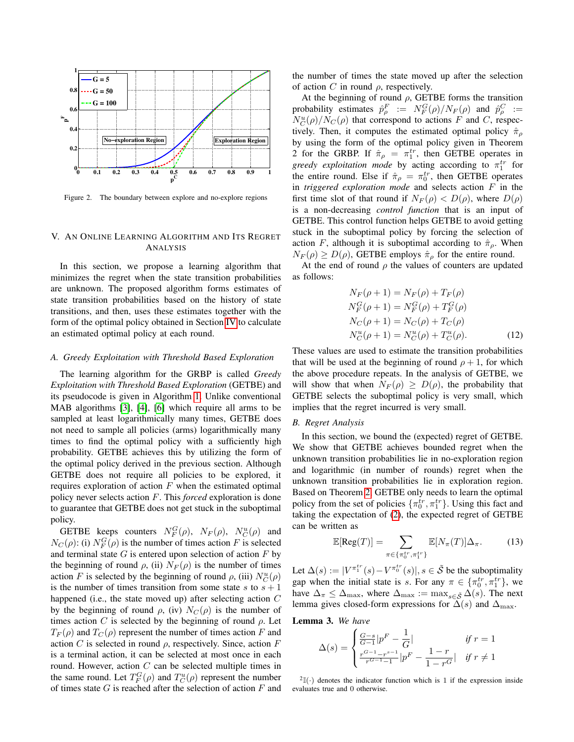

<span id="page-5-1"></span>Figure 2. The boundary between explore and no-explore regions

# <span id="page-5-0"></span>V. AN ONLINE LEARNING ALGORITHM AND ITS REGRET ANALYSIS

In this section, we propose a learning algorithm that minimizes the regret when the state transition probabilities are unknown. The proposed algorithm forms estimates of state transition probabilities based on the history of state transitions, and then, uses these estimates together with the form of the optimal policy obtained in Section [IV](#page-3-0) to calculate an estimated optimal policy at each round.

#### *A. Greedy Exploitation with Threshold Based Exploration*

The learning algorithm for the GRBP is called *Greedy Exploitation with Threshold Based Exploration* (GETBE) and its pseudocode is given in Algorithm [1.](#page-6-0) Unlike conventional MAB algorithms [\[3\]](#page-12-2), [\[4\]](#page-12-3), [\[6\]](#page-12-4) which require all arms to be sampled at least logarithmically many times, GETBE does not need to sample all policies (arms) logarithmically many times to find the optimal policy with a sufficiently high probability. GETBE achieves this by utilizing the form of the optimal policy derived in the previous section. Although GETBE does not require all policies to be explored, it requires exploration of action  $F$  when the estimated optimal policy never selects action F. This *forced* exploration is done to guarantee that GETBE does not get stuck in the suboptimal policy.

GETBE keeps counters  $N_F^G(\rho)$ ,  $N_F(\rho)$ ,  $N_C^u(\rho)$  and  $N_C(\rho)$ : (i)  $N_F^G(\rho)$  is the number of times action F is selected and terminal state  $G$  is entered upon selection of action  $F$  by the beginning of round  $\rho$ , (ii)  $N_F(\rho)$  is the number of times action F is selected by the beginning of round  $\rho$ , (iii)  $N_C^u(\rho)$ is the number of times transition from some state s to  $s + 1$ happened (i.e., the state moved up) after selecting action C by the beginning of round  $\rho$ , (iv)  $N_C(\rho)$  is the number of times action C is selected by the beginning of round  $\rho$ . Let  $T_F(\rho)$  and  $T_C(\rho)$  represent the number of times action F and action C is selected in round  $\rho$ , respectively. Since, action F is a terminal action, it can be selected at most once in each round. However, action  $C$  can be selected multiple times in the same round. Let  $T_F^G(\rho)$  and  $T_C^u(\rho)$  represent the number of times state  $G$  is reached after the selection of action  $F$  and the number of times the state moved up after the selection of action C in round  $\rho$ , respectively.

At the beginning of round  $\rho$ , GETBE forms the transition probability estimates  $\hat{p}_{\rho}^F := N_F^G(\rho)/N_F(\rho)$  and  $\hat{p}_{\rho}^C :=$  $N_C^u(\rho)/N_C(\rho)$  that correspond to actions F and C, respectively. Then, it computes the estimated optimal policy  $\hat{\pi}_{\rho}$ by using the form of the optimal policy given in Theorem 2 for the GRBP. If  $\hat{\pi}_{\rho} = \pi_1^{tr}$ , then GETBE operates in *greedy exploitation mode* by acting according to  $\pi_1^{tr}$  for the entire round. Else if  $\hat{\pi}_{\rho} = \pi_0^{tr}$ , then GETBE operates in *triggered exploration mode* and selects action F in the first time slot of that round if  $N_F(\rho) < D(\rho)$ , where  $D(\rho)$ is a non-decreasing *control function* that is an input of GETBE. This control function helps GETBE to avoid getting stuck in the suboptimal policy by forcing the selection of action F, although it is suboptimal according to  $\hat{\pi}_{\rho}$ . When  $N_F(\rho) \ge D(\rho)$ , GETBE employs  $\hat{\pi}_{\rho}$  for the entire round.

At the end of round  $\rho$  the values of counters are updated as follows:

<span id="page-5-3"></span>
$$
N_F(\rho + 1) = N_F(\rho) + T_F(\rho)
$$
  
\n
$$
N_F^G(\rho + 1) = N_F^G(\rho) + T_F^G(\rho)
$$
  
\n
$$
N_C(\rho + 1) = N_C(\rho) + T_C(\rho)
$$
  
\n
$$
N_C^u(\rho + 1) = N_C^u(\rho) + T_C^u(\rho).
$$
 (12)

These values are used to estimate the transition probabilities that will be used at the beginning of round  $\rho + 1$ , for which the above procedure repeats. In the analysis of GETBE, we will show that when  $N_F(\rho) \geq D(\rho)$ , the probability that GETBE selects the suboptimal policy is very small, which implies that the regret incurred is very small.

# *B. Regret Analysis*

In this section, we bound the (expected) regret of GETBE. We show that GETBE achieves bounded regret when the unknown transition probabilities lie in no-exploration region and logarithmic (in number of rounds) regret when the unknown transition probabilities lie in exploration region. Based on Theorem [2,](#page-4-4) GETBE only needs to learn the optimal policy from the set of policies  $\{\pi_0^{tr}, \pi_1^{tr}\}\)$ . Using this fact and taking the expectation of [\(2\)](#page-2-2), the expected regret of GETBE can be written as

<span id="page-5-4"></span>
$$
\mathbb{E}[\text{Reg}(T)] = \sum_{\pi \in \{\pi_0^{tr}, \pi_1^{tr}\}} \mathbb{E}[N_\pi(T)] \Delta_\pi. \tag{13}
$$

Let  $\Delta(s) := |V^{\pi_1^{tr}}(s) - V^{\pi_0^{tr}}(s)|, s \in \tilde{\mathcal{S}}$  be the suboptimality gap when the initial state is s. For any  $\pi \in {\pi_0^{tr}, \pi_1^{tr}}$ , we have  $\Delta_{\pi} \leq \Delta_{\max}$ , where  $\Delta_{\max} := \max_{s \in \tilde{S}} \Delta(s)$ . The next lemma gives closed-form expressions for  $\Delta(s)$  and  $\Delta_{\text{max}}$ .

Lemma 3. *We have*

$$
\Delta(s) = \begin{cases} \frac{G-s}{G-1} |p^F - \frac{1}{G}| & \text{if } r = 1\\ \frac{r^{G-1} - r^{s-1}}{r^{G-1} - 1} |p^F - \frac{1-r}{1 - r^G}| & \text{if } r \neq 1 \end{cases}
$$

<span id="page-5-2"></span> $2\mathbb{I}(\cdot)$  denotes the indicator function which is 1 if the expression inside evaluates true and 0 otherwise.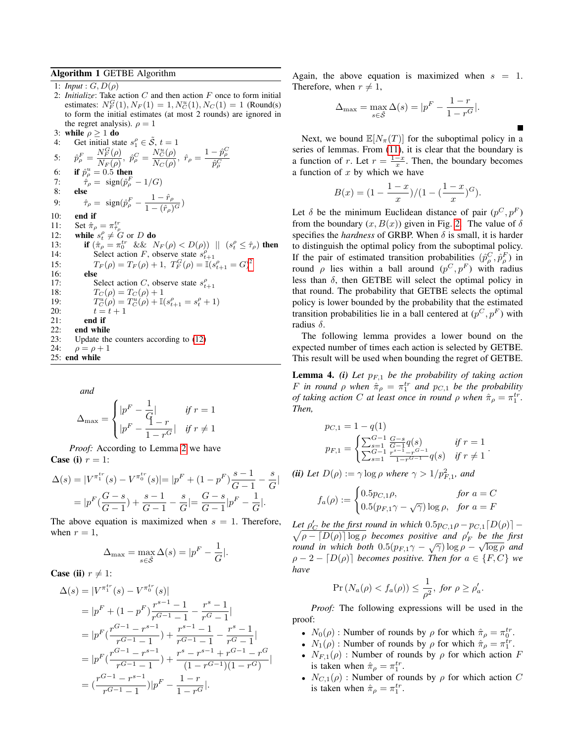# <span id="page-6-0"></span>Algorithm 1 GETBE Algorithm

```
1: Input : G, D(\rho)2: Initialize: Take action C and then action F once to form initial
   estimates: N_F^G(1), N_F(1) = 1, N_C^u(1), N_C(1) = 1 (Round(s)
   to form the initial estimates (at most 2 rounds) are ignored in
   the regret analysis). \rho = 13: while \rho > 1 do
```
\n- 3. 
$$
\text{where } \rho \geq 1 \text{ do}
$$
\n- 4:  $\text{Get initial state } s_1^{\rho} \in \mathcal{S}, t = 1$
\n- 5:  $\hat{p}_{\rho}^{F} = \frac{N_F^{\alpha}(\rho)}{N_F(\rho)}, \ \hat{p}_{\rho}^{C} = \frac{N_C^{\alpha}(\rho)}{N_C(\rho)}, \ \hat{r}_{\rho} = \frac{1 - \hat{p}_{\rho}^{C}}{\hat{p}_{\rho}^{C}}$
\n- 6:  $\text{if } \hat{p}_{\rho}^{u} = 0.5 \text{ then}$
\n- 7:  $\hat{\tau}_{\rho} = \text{sign}(\hat{p}_{\rho}^{F} - 1/G)$
\n- 8:  $\text{else}$
\n- 9:  $\hat{\tau}_{\rho} = \text{sign}(\hat{p}_{\rho}^{F} - \frac{1 - \hat{r}_{\rho}}{1 - (\hat{r}_{\rho})^{G}})$
\n- 10:  $\text{end if}$
\n- 11:  $\text{Set } \hat{\pi}_{\rho} = \pi_{\hat{r}_{\rho}}^{tr}$
\n- 12:  $\text{while } s_t^{\rho} \neq G \text{ or } D \text{ do}$
\n- 13:  $\text{if } (\hat{\pi}_{\rho} = \pi_{0}^{tr} \& \& N_F(\rho) < D(\rho)) \parallel (s_t^{\rho} \leq \hat{\tau}_{\rho}) \text{ then}$
\n- 14:  $\text{Select action } F, \text{ observe state } s_{t+1}^{\rho}$
\n- 15:  $T_F(\rho) = T_F(\rho) + 1, T_F^G(\rho) = \mathbb{I}(s_{t+1}^{\rho} = G)^2$
\n- 16:  $\text{else}$
\n- 17:  $\text{Select action } C, \text{ observe state } s_{t+1}^{\rho}$
\n- 18:  $T_C(\rho) = T_C(\rho) + 1$
\n- 19:  $T_C^{\mu}(\rho) = T_C^{\mu}(\rho) +$

*and*

$$
\Delta_{\max} = \begin{cases} |p^F - \frac{1}{\dot{q}}| & \text{if } r = 1\\ |p^F - \frac{1}{1 - r^G}| & \text{if } r \neq 1 \end{cases}
$$

*Proof:* According to Lemma [2](#page-3-6) we have Case (i)  $r = 1$ :

$$
\Delta(s) = |V^{\pi_1^{tr}}(s) - V^{\pi_0^{tr}}(s)| = |p^F + (1 - p^F)\frac{s - 1}{G - 1} - \frac{s}{G}|
$$
  
= 
$$
|p^F(\frac{G - s}{G - 1}) + \frac{s - 1}{G - 1} - \frac{s}{G}| = \frac{G - s}{G - 1}|p^F - \frac{1}{G}|.
$$

The above equation is maximized when  $s = 1$ . Therefore, when  $r = 1$ .

<span id="page-6-1"></span>
$$
\Delta_{\max} = \max_{s \in \tilde{S}} \Delta(s) = |p^F - \frac{1}{G}|.
$$

**Case (ii)**  $r \neq 1$ :

$$
\Delta(s) = |V^{\pi_1^{tr}}(s) - V^{\pi_0^{tr}}(s)|
$$
  
\n
$$
= |p^F + (1 - p^F) \frac{r^{s-1} - 1}{r^{G-1} - 1} - \frac{r^s - 1}{r^G - 1}|
$$
  
\n
$$
= |p^F(\frac{r^{G-1} - r^{s-1}}{r^{G-1} - 1}) + \frac{r^{s-1} - 1}{r^{G-1} - 1} - \frac{r^s - 1}{r^G - 1}|
$$
  
\n
$$
= |p^F(\frac{r^{G-1} - r^{s-1}}{r^{G-1} - 1}) + \frac{r^s - r^{s-1} + r^{G-1} - r^G}{(1 - r^{G-1})(1 - r^G)}|
$$
  
\n
$$
= (\frac{r^{G-1} - r^{s-1}}{r^{G-1} - 1})|p^F - \frac{1 - r}{1 - r^G}|.
$$

Again, the above equation is maximized when  $s = 1$ . Therefore, when  $r \neq 1$ ,

$$
\Delta_{\max} = \max_{s \in \tilde{S}} \Delta(s) = |p^F - \frac{1-r}{1-r^G}|.
$$

Next, we bound  $\mathbb{E}[N_{\pi}(T)]$  for the suboptimal policy in a series of lemmas. From [\(11\)](#page-4-5), it is clear that the boundary is a function of r. Let  $r = \frac{1-x}{x}$ . Then, the boundary becomes a function of  $x$  by which we have

$$
B(x) = \frac{1 - x}{x} / (1 - (\frac{1 - x}{x})^{G}).
$$

Let  $\delta$  be the minimum Euclidean distance of pair  $(p^C, p^F)$ from the boundary  $(x, B(x))$  given in Fig. [2.](#page-5-1) The value of  $\delta$ specifies the *hardness* of GRBP. When  $\delta$  is small, it is harder to distinguish the optimal policy from the suboptimal policy. If the pair of estimated transition probabilities  $(\hat{p}_{\rho}^C, \hat{p}_{\rho}^F)$  in round  $\rho$  lies within a ball around  $(p^C, p^F)$  with radius less than  $\delta$ , then GETBE will select the optimal policy in that round. The probability that GETBE selects the optimal policy is lower bounded by the probability that the estimated transition probabilities lie in a ball centered at  $(p^C, p^F)$  with radius  $\delta$ .

The following lemma provides a lower bound on the expected number of times each action is selected by GETBE. This result will be used when bounding the regret of GETBE.

<span id="page-6-2"></span>**Lemma 4.** *(i)* Let  $p_{F,1}$  be the probability of taking action *F* in round  $\rho$  when  $\hat{\pi}_{\rho} = \pi_1^{tr}$  and  $p_{C,1}$  be the probability *of taking action C at least once in round*  $\rho$  *when*  $\hat{\pi}_{\rho} = \pi_1^{tr}$ . *Then,*

$$
p_{C,1} = 1 - q(1)
$$
  
\n
$$
p_{F,1} = \begin{cases} \sum_{s=1}^{G-1} \frac{G-s}{G-1} q(s) & \text{if } r = 1\\ \sum_{s=1}^{G-1} \frac{r^{s-1} - r^{G-1}}{1 - r^{G-1}} q(s) & \text{if } r \neq 1 \end{cases}
$$

.

П

(*ii*) Let  $D(\rho) := \gamma \log \rho$  where  $\gamma > 1/p_{F,1}^2$ , and

$$
f_a(\rho) := \begin{cases} 0.5p_{C,1}\rho, & \text{for } a = C\\ 0.5(p_{F,1}\gamma - \sqrt{\gamma})\log \rho, & \text{for } a = F \end{cases}
$$

Let  $\rho'_C$  be the first round in which  $0.5p_{C,1}\rho - p_{C,1}[D(\rho)] \sqrt{\rho - [D(\rho)] \log \rho}$  becomes positive and  $\rho'_F$  be the first *round in which both*  $0.5(p_{F,1}\gamma - \sqrt{\gamma})\log \rho - \sqrt{\log \rho}$  and  $\rho - 2 - [D(\rho)]$  *becomes positive. Then for*  $a \in \{F, C\}$  *we have*

$$
\Pr\left(N_a(\rho) < f_a(\rho)\right) \le \frac{1}{\rho^2}, \text{ for } \rho \ge \rho'_a.
$$

*Proof:* The following expressions will be used in the proof:

- $N_0(\rho)$ : Number of rounds by  $\rho$  for which  $\hat{\pi}_{\rho} = \pi_0^{tr}$ .
- $N_1(\rho)$ : Number of rounds by  $\rho$  for which  $\hat{\pi}_{\rho} = \pi_1^{tr}$ .
- $N_{F,1}(\rho)$ : Number of rounds by  $\rho$  for which action F is taken when  $\hat{\pi}_{\rho} = \pi_1^{tr}$ .
- $N_{C,1}(\rho)$ : Number of rounds by  $\rho$  for which action C is taken when  $\hat{\pi}_{\rho} = \pi_1^{tr}$ .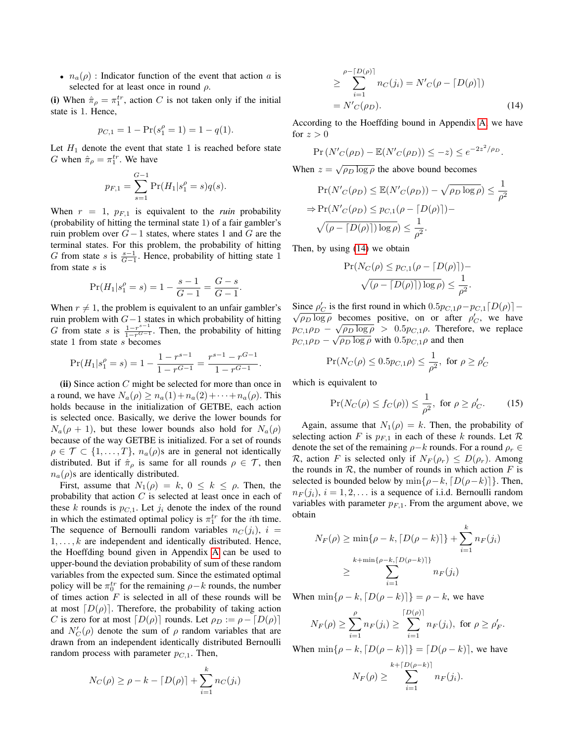•  $n_a(\rho)$ : Indicator function of the event that action a is selected for at least once in round  $\rho$ .

(i) When  $\hat{\pi}_{\rho} = \pi_1^{tr}$ , action C is not taken only if the initial state is 1. Hence,

$$
p_{C,1} = 1 - \Pr(s_1^{\rho} = 1) = 1 - q(1).
$$

Let  $H_1$  denote the event that state 1 is reached before state G when  $\hat{\pi}_{\rho} = \pi_1^{tr}$ . We have

$$
p_{F,1} = \sum_{s=1}^{G-1} \Pr(H_1|s_1^{\rho} = s)q(s).
$$

When  $r = 1$ ,  $p_{F,1}$  is equivalent to the *ruin* probability (probability of hitting the terminal state 1) of a fair gambler's ruin problem over  $G-1$  states, where states 1 and G are the terminal states. For this problem, the probability of hitting G from state s is  $\frac{s-1}{G-1}$ . Hence, probability of hitting state 1 from state s is

$$
\Pr(H_1|s_1^{\rho} = s) = 1 - \frac{s-1}{G-1} = \frac{G-s}{G-1}.
$$

When  $r \neq 1$ , the problem is equivalent to an unfair gambler's ruin problem with  $G-1$  states in which probability of hitting G from state s is  $\frac{1-r^{s-1}}{1-r^{G-1}}$ . Then, the probability of hitting state 1 from state s becomes

$$
\Pr(H_1|s_1^{\rho} = s) = 1 - \frac{1 - r^{s-1}}{1 - r^{G-1}} = \frac{r^{s-1} - r^{G-1}}{1 - r^{G-1}}.
$$

(ii) Since action  $C$  might be selected for more than once in a round, we have  $N_a(\rho) \geq n_a(1) + n_a(2) + \cdots + n_a(\rho)$ . This holds because in the initialization of GETBE, each action is selected once. Basically, we derive the lower bounds for  $N_a(\rho + 1)$ , but these lower bounds also hold for  $N_a(\rho)$ because of the way GETBE is initialized. For a set of rounds  $\rho \in \mathcal{T} \subset \{1, \ldots, T\}, n_a(\rho)$ s are in general not identically distributed. But if  $\hat{\pi}_{\rho}$  is same for all rounds  $\rho \in \mathcal{T}$ , then  $n_a(\rho)$ s are identically distributed.

First, assume that  $N_1(\rho) = k$ ,  $0 \le k \le \rho$ . Then, the probability that action  $C$  is selected at least once in each of these k rounds is  $p_{C,1}$ . Let  $j_i$  denote the index of the round in which the estimated optimal policy is  $\pi_1^{tr}$  for the *i*th time. The sequence of Bernoulli random variables  $n_c(j_i), i =$  $1, \ldots, k$  are independent and identically distributed. Hence, the Hoeffding bound given in Appendix [A](#page-12-20) can be used to upper-bound the deviation probability of sum of these random variables from the expected sum. Since the estimated optimal policy will be  $\pi_0^{tr}$  for the remaining  $\rho - k$  rounds, the number of times action  $F$  is selected in all of these rounds will be at most  $[D(\rho)]$ . Therefore, the probability of taking action C is zero for at most  $[D(\rho)]$  rounds. Let  $\rho_D := \rho - [D(\rho)]$ and  $N_C'(\rho)$  denote the sum of  $\rho$  random variables that are drawn from an independent identically distributed Bernoulli random process with parameter  $p_{C,1}$ . Then,

$$
N_C(\rho) \ge \rho - k - [D(\rho)] + \sum_{i=1}^{k} n_C(j_i)
$$

$$
\geq \sum_{i=1}^{\rho - [D(\rho)]} n_C(j_i) = N'_{C}(\rho - [D(\rho)])
$$
  
=  $N'_{C}(\rho_{D}).$  (14)

According to the Hoeffding bound in Appendix [A,](#page-12-20) we have for  $z > 0$ 

$$
\Pr\left(N'_{C}(\rho_{D}) - \mathbb{E}(N'_{C}(\rho_{D})) \leq -z\right) \leq e^{-2z^{2}/\rho_{D}}.
$$

When  $z = \sqrt{\rho_D \log \rho}$  the above bound becomes

$$
\Pr(N'_{C}(\rho_{D}) \leq \mathbb{E}(N'_{C}(\rho_{D})) - \sqrt{\rho_{D} \log \rho}) \leq \frac{1}{\rho^{2}}
$$

$$
\Rightarrow \Pr(N'_{C}(\rho_{D}) \leq p_{C,1}(\rho - \lceil D(\rho) \rceil)) - \sqrt{(\rho - \lceil D(\rho) \rceil) \log \rho} \leq \frac{1}{\rho^{2}}.
$$

Then, by using [\(14\)](#page-6-1) we obtain

$$
\Pr(N_C(\rho) \le p_{C,1}(\rho - \lceil D(\rho) \rceil)) - \sqrt{(\rho - \lceil D(\rho) \rceil) \log \rho} \le \frac{1}{\rho^2}.
$$

Since  $\rho'_C$  is the first round in which  $0.5p_{C,1}\rho-p_{C,1}[D(\rho)]$  –  $\sqrt{\rho_D \log \rho}$  becomes positive, on or after  $\rho'_C$ , we have  $p_{C,1}\rho_D - \sqrt{\rho_D \log \rho} > 0.5p_{C,1}\rho$ . Therefore, we replace  $p_{C,1}\rho_D - \sqrt{\rho_D \log \rho}$  with  $0.5p_{C,1}\rho$  and then

$$
\Pr(N_C(\rho) \le 0.5p_{C,1}\rho) \le \frac{1}{\rho^2}, \text{ for } \rho \ge \rho_C'
$$

which is equivalent to

<span id="page-7-0"></span>
$$
\Pr(N_C(\rho) \le f_C(\rho)) \le \frac{1}{\rho^2}, \text{ for } \rho \ge \rho'_C. \tag{15}
$$

Again, assume that  $N_1(\rho) = k$ . Then, the probability of selecting action F is  $p_{F,1}$  in each of these k rounds. Let R denote the set of the remaining  $\rho - k$  rounds. For a round  $\rho_r \in$ R, action F is selected only if  $N_F(\rho_r) \leq D(\rho_r)$ . Among the rounds in  $R$ , the number of rounds in which action  $F$  is selected is bounded below by  $\min\{\rho-k, [D(\rho-k)]\}$ . Then,  $n_F (j_i), i = 1, 2, \ldots$  is a sequence of i.i.d. Bernoulli random variables with parameter  $p_{F,1}$ . From the argument above, we obtain

$$
N_F(\rho) \ge \min\{\rho - k, \lceil D(\rho - k) \rceil\} + \sum_{i=1}^k n_F(j_i)
$$
  

$$
\ge \sum_{i=1}^{k + \min\{\rho - k, \lceil D(\rho - k) \rceil\}} n_F(j_i)
$$

When  $\min\{\rho - k, [D(\rho - k)]\} = \rho - k$ , we have

$$
N_F(\rho) \ge \sum_{i=1}^{\rho} n_F(j_i) \ge \sum_{i=1}^{\lceil D(\rho) \rceil} n_F(j_i)
$$
, for  $\rho \ge \rho'_F$ .

When  $\min\{\rho - k, \lceil D(\rho - k) \rceil\} = \lceil D(\rho - k) \rceil$ , we have

$$
N_F(\rho) \geq \sum_{i=1}^{k+\lceil D(\rho-k) \rceil} n_F(j_i).
$$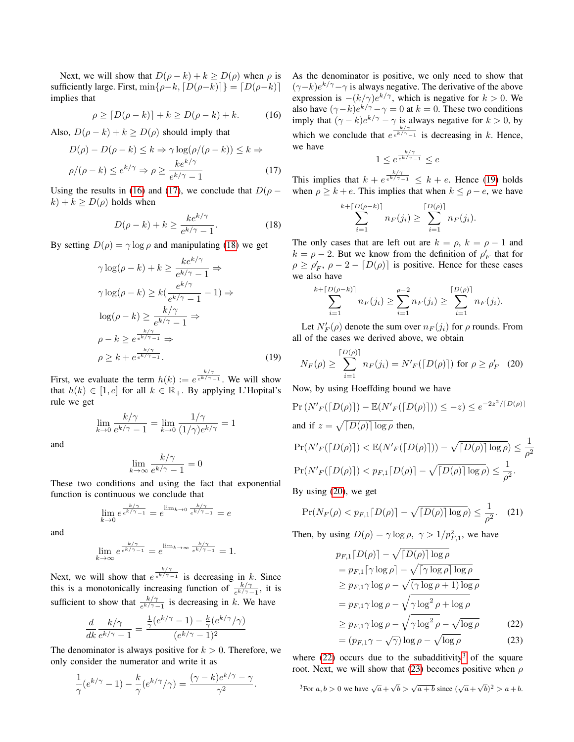Next, we will show that  $D(\rho - k) + k \ge D(\rho)$  when  $\rho$  is sufficiently large. First,  $\min\{\rho-k, [D(\rho-k)]\} = [D(\rho-k)]$ implies that

$$
\rho \ge \lceil D(\rho - k) \rceil + k \ge D(\rho - k) + k. \tag{16}
$$

Also,  $D(\rho - k) + k \ge D(\rho)$  should imply that

$$
D(\rho) - D(\rho - k) \le k \Rightarrow \gamma \log(\rho/(\rho - k)) \le k \Rightarrow
$$
  

$$
\rho/(\rho - k) \le e^{k/\gamma} \Rightarrow \rho \ge \frac{ke^{k/\gamma}}{e^{k/\gamma} - 1}
$$
 (17)

Using the results in [\(16\)](#page-8-0) and [\(17\)](#page-8-1), we conclude that  $D(\rho$  $k + k \ge D(\rho)$  holds when

$$
D(\rho - k) + k \ge \frac{ke^{k/\gamma}}{e^{k/\gamma} - 1}.
$$
 (18)

By setting  $D(\rho) = \gamma \log \rho$  and manipulating [\(18\)](#page-8-2) we get

$$
\gamma \log(\rho - k) + k \ge \frac{ke^{k/\gamma}}{e^{k/\gamma} - 1} \Rightarrow
$$
  
\n
$$
\gamma \log(\rho - k) \ge k(\frac{e^{k/\gamma}}{e^{k/\gamma} - 1} - 1) \Rightarrow
$$
  
\n
$$
\log(\rho - k) \ge \frac{k/\gamma}{e^{k/\gamma} - 1} \Rightarrow
$$
  
\n
$$
\rho - k \ge e^{\frac{k/\gamma}{e^{k/\gamma} - 1}} \Rightarrow
$$
  
\n
$$
\rho \ge k + e^{\frac{k/\gamma}{e^{k/\gamma} - 1}}.
$$
\n(19)

First, we evaluate the term  $h(k) := e^{\frac{k/\gamma}{e^{k/\gamma}-1}}$ . We will show that  $h(k) \in [1, e]$  for all  $k \in \mathbb{R}_+$ . By applying L'Hopital's rule we get

$$
\lim_{k \to 0} \frac{k/\gamma}{e^{k/\gamma} - 1} = \lim_{k \to 0} \frac{1/\gamma}{(1/\gamma)e^{k/\gamma}} = 1
$$

and

$$
\lim_{k \to \infty} \frac{k/\gamma}{e^{k/\gamma} - 1} = 0
$$

These two conditions and using the fact that exponential function is continuous we conclude that

$$
\lim_{k \to 0} e^{\frac{k/\gamma}{e^{k/\gamma}-1}} = e^{\lim_{k \to 0} \frac{k/\gamma}{e^{k/\gamma}-1}} = e
$$

and

$$
\lim_{k \to \infty} e^{\frac{k/\gamma}{e^{k/\gamma}-1}} = e^{\lim_{k \to \infty} \frac{k/\gamma}{e^{k/\gamma}-1}} = 1.
$$

Next, we will show that  $e^{\frac{k/\gamma}{e^{k/\gamma}-1}}$  is decreasing in k. Since this is a monotonically increasing function of  $\frac{k/\gamma}{e^{k/\gamma}-1}$ , it is sufficient to show that  $\frac{k/\gamma}{e^{k/\gamma}-1}$  is decreasing in k. We have

$$
\frac{d}{dk}\frac{k/\gamma}{e^{k/\gamma}-1} = \frac{\frac{1}{\gamma}(e^{k/\gamma}-1) - \frac{k}{\gamma}(e^{k/\gamma}/\gamma)}{(e^{k/\gamma}-1)^2}
$$

The denominator is always positive for  $k > 0$ . Therefore, we only consider the numerator and write it as

$$
\frac{1}{\gamma}(e^{k/\gamma}-1)-\frac{k}{\gamma}(e^{k/\gamma}/\gamma)=\frac{(\gamma-k)e^{k/\gamma}-\gamma}{\gamma^2}.
$$

<span id="page-8-0"></span>As the denominator is positive, we only need to show that  $(\gamma - k) e^{k/\gamma} - \gamma$  is always negative. The derivative of the above expression is  $-(k/\gamma)e^{k/\gamma}$ , which is negative for  $k > 0$ . We also have  $(\gamma - k)e^{k/\gamma} - \gamma = 0$  at  $k = 0$ . These two conditions imply that  $(\gamma - k)e^{k/\gamma} - \gamma$  is always negative for  $k > 0$ , by which we conclude that  $e^{\frac{k/\gamma}{e^{k/\gamma}-1}}$  is decreasing in k. Hence, we have

<span id="page-8-4"></span>
$$
1 \le e^{\frac{k/\gamma}{e^{k/\gamma}-1}} \le e
$$

<span id="page-8-1"></span>This implies that  $k + e^{\frac{k/\gamma}{e^{k/\gamma}-1}} \leq k + e$ . Hence [\(19\)](#page-8-3) holds when  $\rho \geq k + e$ . This implies that when  $k \leq \rho - e$ , we have

$$
\sum_{i=1}^{\lceil D(\rho - k) \rceil} n_F(j_i) \ge \sum_{i=1}^{\lceil D(\rho) \rceil} n_F(j_i).
$$

<span id="page-8-2"></span>The only cases that are left out are  $k = \rho$ ,  $k = \rho - 1$  and  $k = \rho - 2$ . But we know from the definition of  $\rho'_F$  that for  $\rho \ge \rho'_F$ ,  $\rho - 2 - [D(\rho)]$  is positive. Hence for these cases we also have

$$
\sum_{i=1}^{k+\lceil D(\rho-k) \rceil} n_F(j_i) \ge \sum_{i=1}^{\rho-2} n_F(j_i) \ge \sum_{i=1}^{\lceil D(\rho) \rceil} n_F(j_i).
$$

Let  $N_F'(\rho)$  denote the sum over  $n_F(j_i)$  for  $\rho$  rounds. From all of the cases we derived above, we obtain

<span id="page-8-3"></span>
$$
N_F(\rho) \ge \sum_{i=1}^{\lceil D(\rho) \rceil} n_F(j_i) = N'_F(\lceil D(\rho) \rceil) \text{ for } \rho \ge \rho'_F \quad (20)
$$

Now, by using Hoeffding bound we have

$$
\Pr\left(N'_{F}(\lceil D(\rho) \rceil) - \mathbb{E}(N'_{F}(\lceil D(\rho) \rceil)\right) \le -z\right) \le e^{-2z^{2}/\lceil D(\rho) \rceil}
$$
\nand if  $z = \sqrt{\lceil D(\rho) \rceil \log \rho}$  then,

\n
$$
\Pr\left(N'_{F}(\lceil D(\rho) \rceil) < \mathbb{E}(N'_{F}(\lceil D(\rho) \rceil)) - \sqrt{\lceil D(\rho) \rceil \log \rho} \right) \le \frac{1}{\rho^{2}}
$$
\n
$$
\Pr\left(N'_{F}(\lceil D(\rho) \rceil) < p_{F,1} \lceil D(\rho) \rceil - \sqrt{\lceil D(\rho) \rceil \log \rho} \right) \le \frac{1}{\rho^{2}}.
$$

By using [\(20\)](#page-8-4), we get

 $k$ 

$$
\Pr(N_F(\rho) < p_{F,1} \lceil D(\rho) \rceil - \sqrt{\lceil D(\rho) \rceil \log \rho}) \le \frac{1}{\rho^2}.\tag{21}
$$

Then, by using  $D(\rho) = \gamma \log \rho$ ,  $\gamma > 1/p_{F,1}^2$ , we have

<span id="page-8-8"></span>
$$
p_{F,1}[D(\rho)] - \sqrt{|D(\rho)| \log \rho}
$$
  
=  $p_{F,1}[\gamma \log \rho] - \sqrt{|\gamma \log \rho| \log \rho}$   
 $\geq p_{F,1} \gamma \log \rho - \sqrt{(\gamma \log \rho + 1) \log \rho}$   
=  $p_{F,1} \gamma \log \rho - \sqrt{\gamma \log^2 \rho + \log \rho}$   
 $\geq p_{F,1} \gamma \log \rho - \sqrt{\gamma \log^2 \rho - \sqrt{\log \rho}}$  (22)

<span id="page-8-7"></span><span id="page-8-5"></span>
$$
= (p_{F,1}\gamma - \sqrt{\gamma}) \log \rho - \sqrt{\log \rho} \tag{23}
$$

where  $(22)$  occurs due to the subadditivity<sup>[3](#page-8-6)</sup> of the square root. Next, we will show that [\(23\)](#page-8-7) becomes positive when  $\rho$ 

<span id="page-8-6"></span><sup>3</sup>For 
$$
a, b > 0
$$
 we have  $\sqrt{a} + \sqrt{b} > \sqrt{a+b}$  since  $(\sqrt{a} + \sqrt{b})^2 > a+b$ .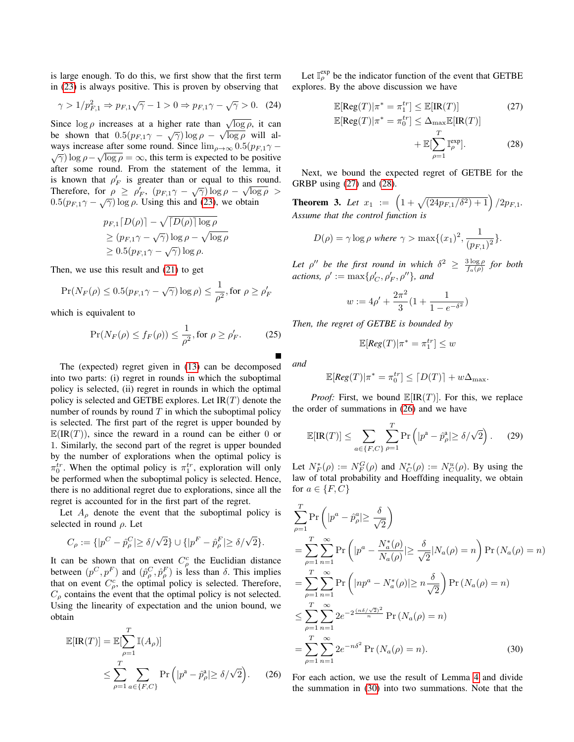is large enough. To do this, we first show that the first term in [\(23\)](#page-8-7) is always positive. This is proven by observing that

$$
\gamma > 1/p_{F,1}^2 \Rightarrow p_{F,1}\sqrt{\gamma} - 1 > 0 \Rightarrow p_{F,1}\gamma - \sqrt{\gamma} > 0. \tag{24}
$$

Since  $\log \rho$  increases at a higher rate than  $\sqrt{\log \rho}$ , it can be shown that  $0.5(p_{F,1}\gamma - \sqrt{\gamma}) \log \rho - \sqrt{\log \rho}$  will always increase after some round. Since  $\lim_{\rho\to\infty} 0.5(p_{F,1}\gamma \sqrt{\log \rho} = \infty$ , this term is expected to be positive after some round. From the statement of the lemma, it is known that  $\rho'_F$  is greater than or equal to this round. Therefore, for  $\rho \ge \rho'_F$ ,  $(p_{F,1}\gamma - \sqrt{\gamma}) \log \rho - \sqrt{\log \rho} >$  $0.5(p_{F,1}\gamma - \sqrt{\gamma}) \log \rho$ . Using this and [\(23\)](#page-8-7), we obtain

$$
p_{F,1}[D(\rho)] - \sqrt{|D(\rho)| \log \rho}
$$
  
\n
$$
\ge (p_{F,1}\gamma - \sqrt{\gamma}) \log \rho - \sqrt{\log \rho}
$$
  
\n
$$
\ge 0.5(p_{F,1}\gamma - \sqrt{\gamma}) \log \rho.
$$

Then, we use this result and [\(21\)](#page-8-8) to get

$$
\Pr(N_F(\rho) \le 0.5(p_{F,1}\gamma - \sqrt{\gamma})\log\rho) \le \frac{1}{\rho^2}, \text{for } \rho \ge \rho'_F
$$

which is equivalent to

$$
\Pr(N_F(\rho) \le f_F(\rho)) \le \frac{1}{\rho^2}, \text{for } \rho \ge \rho'_F. \tag{25}
$$

The (expected) regret given in [\(13\)](#page-5-4) can be decomposed into two parts: (i) regret in rounds in which the suboptimal policy is selected, (ii) regret in rounds in which the optimal policy is selected and GETBE explores. Let  $IR(T)$  denote the number of rounds by round  $T$  in which the suboptimal policy is selected. The first part of the regret is upper bounded by  $\mathbb{E}(\text{IR}(T))$ , since the reward in a round can be either 0 or 1. Similarly, the second part of the regret is upper bounded by the number of explorations when the optimal policy is  $\pi_0^{tr}$ . When the optimal policy is  $\pi_1^{tr}$ , exploration will only be performed when the suboptimal policy is selected. Hence, there is no additional regret due to explorations, since all the regret is accounted for in the first part of the regret.

Let  $A_{\rho}$  denote the event that the suboptimal policy is selected in round  $\rho$ . Let

$$
C_{\rho} := \{ |p^C - \hat{p}_{\rho}^C| \ge \delta/\sqrt{2} \} \cup \{ |p^F - \hat{p}_{\rho}^F| \ge \delta/\sqrt{2} \}.
$$

It can be shown that on event  $C_{\rho}^{c}$  the Euclidian distance between  $(p^C, p^F)$  and  $(\hat{p}^C, \hat{p}^F)$  is less than  $\delta$ . This implies that on event  $C^c_{\rho}$ , the optimal policy is selected. Therefore,  $C_{\rho}$  contains the event that the optimal policy is not selected. Using the linearity of expectation and the union bound, we obtain

$$
\mathbb{E}[\text{IR}(T)] = \mathbb{E}[\sum_{\rho=1}^{T} \mathbb{I}(A_{\rho})]
$$
  
\n
$$
\leq \sum_{\rho=1}^{T} \sum_{a \in \{F, C\}} \Pr\left(|p^{a} - \hat{p}^{a}_{\rho}| \geq \delta/\sqrt{2}\right).
$$
 (26)

<span id="page-9-5"></span>Let  $\mathbb{I}_{\rho}^{\text{exp}}$  be the indicator function of the event that GETBE explores. By the above discussion we have

<span id="page-9-1"></span><span id="page-9-0"></span>
$$
\mathbb{E}[\text{Reg}(T)|\pi^* = \pi_1^{tr}] \leq \mathbb{E}[\text{IR}(T)] \tag{27}
$$
  

$$
\mathbb{E}[\text{Reg}(T)|\pi^* = \pi_0^{tr}] \leq \Delta_{\text{max}} \mathbb{E}[\text{IR}(T)]
$$
  

$$
+ \mathbb{E}[\sum_{\rho=1}^T \mathbb{I}_{\rho}^{\text{exp}}]. \tag{28}
$$

Next, we bound the expected regret of GETBE for the GRBP using [\(27\)](#page-9-0) and [\(28\)](#page-9-1).

<span id="page-9-7"></span>**Theorem 3.** Let  $x_1 := \left(1 + \sqrt{\frac{24p_{F,1}/\delta^2 + 1}{2p_{F,1}}}\right)/2p_{F,1}$ . *Assume that the control function is*

$$
D(\rho) = \gamma \log \rho \text{ where } \gamma > \max\{(x_1)^2, \frac{1}{(p_{F,1})^2}\}.
$$

Let  $\rho''$  be the first round in which  $\delta^2 \geq \frac{3 \log \rho}{f_a(\rho)}$  for both *actions,*  $\rho' := \max\{\rho'_C, \rho'_F, \rho''\}$ *, and* 

$$
w := 4\rho' + \frac{2\pi^2}{3}(1 + \frac{1}{1 - e^{-\delta^2}})
$$

<span id="page-9-4"></span>*Then, the regret of GETBE is bounded by*

<span id="page-9-6"></span>
$$
\mathbb{E}[Reg(T)|\pi^* = \pi_1^{tr}] \leq w
$$

*and*

$$
\mathbb{E}[Reg(T)|\pi^* = \pi_0^{tr}] \le [D(T)] + w\Delta_{\max}.
$$

*Proof:* First, we bound  $\mathbb{E}[IR(T)]$ . For this, we replace the order of summations in [\(26\)](#page-9-2) and we have

$$
\mathbb{E}[\text{IR}(T)] \le \sum_{a \in \{F, C\}} \sum_{\rho=1}^{T} \Pr\left(|p^a - \hat{p}^a_{\rho}| \ge \delta/\sqrt{2}\right). \tag{29}
$$

Let  $N_F^*(\rho) := N_F^G(\rho)$  and  $N_C^*(\rho) := N_C^u(\rho)$ . By using the law of total probability and Hoeffding inequality, we obtain for  $a \in \{F, C\}$ 

$$
\sum_{\rho=1}^{T} \Pr\left(|p^a - \hat{p}^a_{\rho}| \ge \frac{\delta}{\sqrt{2}}\right)
$$
  
= 
$$
\sum_{\rho=1}^{T} \sum_{n=1}^{\infty} \Pr\left(|p^a - \frac{N_a^*(\rho)}{N_a(\rho)}| \ge \frac{\delta}{\sqrt{2}} |N_a(\rho) = n\right) \Pr\left(N_a(\rho) = n\right)
$$
  
= 
$$
\sum_{\rho=1}^{T} \sum_{n=1}^{\infty} \Pr\left(|np^a - N_a^*(\rho)| \ge n\frac{\delta}{\sqrt{2}}\right) \Pr\left(N_a(\rho) = n\right)
$$
  

$$
\le \sum_{\rho=1}^{T} \sum_{n=1}^{\infty} 2e^{-2\frac{(n\delta/\sqrt{2})^2}{n}} \Pr\left(N_a(\rho) = n\right)
$$
  
= 
$$
\sum_{\rho=1}^{T} \sum_{n=1}^{\infty} 2e^{-n\delta^2} \Pr\left(N_a(\rho) = n\right).
$$
 (30)

<span id="page-9-3"></span><span id="page-9-2"></span>For each action, we use the result of Lemma [4](#page-6-2) and divide the summation in [\(30\)](#page-9-3) into two summations. Note that the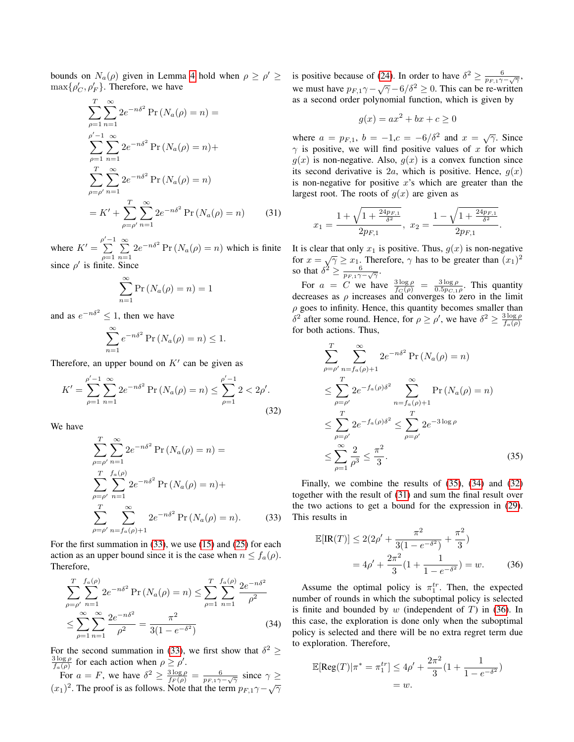bounds on  $N_a(\rho)$  given in Lemma [4](#page-6-2) hold when  $\rho \ge \rho' \ge$  $\max\{\rho_C', \rho_F'\}.$  Therefore, we have

$$
\sum_{\rho=1}^{T} \sum_{n=1}^{\infty} 2e^{-n\delta^2} \Pr(N_a(\rho) = n) =
$$
\n
$$
\sum_{\rho=1}^{\rho'-1} \sum_{n=1}^{\infty} 2e^{-n\delta^2} \Pr(N_a(\rho) = n) +
$$
\n
$$
\sum_{\rho=\rho'}^{T} \sum_{n=1}^{\infty} 2e^{-n\delta^2} \Pr(N_a(\rho) = n)
$$
\n
$$
= K' + \sum_{\rho=\rho'}^{T} \sum_{n=1}^{\infty} 2e^{-n\delta^2} \Pr(N_a(\rho) = n) \qquad (31)
$$

where  $K' = \sum_{n=1}^{\rho' - 1}$  $-1$  $\rho=1$  $\sum_{i=1}^{\infty}$  $\sum_{n=1}^{\infty} 2e^{-n\delta^2} \Pr(N_a(\rho) = n)$  which is finite since  $\rho'$  is finite. Since

$$
\sum_{n=1}^{\infty} \Pr\left(N_a(\rho) = n\right) = 1
$$

and as  $e^{-n\delta^2} \leq 1$ , then we have

$$
\sum_{n=1}^{\infty} e^{-n\delta^2} \Pr\left(N_a(\rho) = n\right) \le 1.
$$

Therefore, an upper bound on  $K'$  can be given as

$$
K' = \sum_{\rho=1}^{\rho'-1} \sum_{n=1}^{\infty} 2e^{-n\delta^2} \Pr\left(N_a(\rho) = n\right) \le \sum_{\rho=1}^{\rho'-1} 2 < 2\rho'.
$$
\n(32)

We have

$$
\sum_{\rho=\rho'}^{T} \sum_{n=1}^{\infty} 2e^{-n\delta^2} \Pr(N_a(\rho) = n) =
$$
\n
$$
\sum_{\rho=\rho'}^{T} \sum_{n=1}^{f_a(\rho)} 2e^{-n\delta^2} \Pr(N_a(\rho) = n) +
$$
\n
$$
\sum_{\rho=\rho'}^{T} \sum_{n=f_a(\rho)+1}^{\infty} 2e^{-n\delta^2} \Pr(N_a(\rho) = n).
$$
\n(33)

For the first summation in [\(33\)](#page-10-0), we use [\(15\)](#page-7-0) and [\(25\)](#page-9-4) for each action as an upper bound since it is the case when  $n \le f_a(\rho)$ . Therefore,

$$
\sum_{\rho=\rho'}^{T} \sum_{n=1}^{f_a(\rho)} 2e^{-n\delta^2} \Pr\left(N_a(\rho) = n\right) \le \sum_{\rho=1}^{T} \sum_{n=1}^{f_a(\rho)} \frac{2e^{-n\delta^2}}{\rho^2}
$$

$$
\le \sum_{\rho=1}^{\infty} \sum_{n=1}^{\infty} \frac{2e^{-n\delta^2}}{\rho^2} = \frac{\pi^2}{3(1 - e^{-\delta^2})} \tag{34}
$$

For the second summation in [\(33\)](#page-10-0), we first show that  $\delta^2 \ge$  $rac{3 \log \rho}{f_a(\rho)}$  for each action when  $\rho \geq \rho'$ .

For  $a = F$ , we have  $\delta^2 \ge \frac{3 \log \rho}{f_F(\rho)} = \frac{6}{p_{F,1}\gamma - \sqrt{\gamma}}$  since  $\gamma \ge$  $(x_1)^2$ . The proof is as follows. Note that the term  $p_{F,1}\gamma - \sqrt{\gamma}$ 

is positive because of [\(24\)](#page-9-5). In order to have  $\delta^2 \ge \frac{6}{p_{F,1}\gamma - \sqrt{\gamma}}$ , we must have  $p_{F,1}\gamma - \sqrt{\gamma} - 6/\delta^2 \ge 0$ . This can be re-written as a second order polynomial function, which is given by

$$
g(x) = ax^2 + bx + c \ge 0
$$

where  $a = p_{F,1}$ ,  $b = -1$ ,  $c = -6/\delta^2$  and  $x = \sqrt{\gamma}$ . Since  $\gamma$  is positive, we will find positive values of x for which  $g(x)$  is non-negative. Also,  $g(x)$  is a convex function since its second derivative is 2a, which is positive. Hence,  $q(x)$ is non-negative for positive  $x$ 's which are greater than the largest root. The roots of  $g(x)$  are given as

<span id="page-10-4"></span>
$$
x_1 = \frac{1 + \sqrt{1 + \frac{24p_{F,1}}{\delta^2}}}{2p_{F,1}}, \ x_2 = \frac{1 - \sqrt{1 + \frac{24p_{F,1}}{\delta^2}}}{2p_{F,1}}.
$$

It is clear that only  $x_1$  is positive. Thus,  $g(x)$  is non-negative for  $x = \sqrt{\gamma} \ge x_1$ . Therefore,  $\gamma$  has to be greater than  $(x_1)^2$ so that  $\delta^2 \geq \frac{6}{p_{F,1}\gamma - \sqrt{\gamma}}$ .

For  $a = C$  we have  $\frac{3 \log \rho}{f_C(\rho)} = \frac{3 \log \rho}{0.5 p_{C,1} \rho}$ . This quantity decreases as  $\rho$  increases and converges to zero in the limit  $\rho$  goes to infinity. Hence, this quantity becomes smaller than  $\delta^2$  after some round. Hence, for  $\rho \ge \rho'$ , we have  $\delta^2 \ge \frac{3 \log \rho}{f_a(\rho)}$ for both actions. Thus,

<span id="page-10-3"></span>
$$
\sum_{\rho=\rho'}^{T} \sum_{n=f_a(\rho)+1}^{\infty} 2e^{-n\delta^2} \Pr(N_a(\rho) = n)
$$
  
\n
$$
\leq \sum_{\rho=\rho'}^{T} 2e^{-f_a(\rho)\delta^2} \sum_{n=f_a(\rho)+1}^{\infty} \Pr(N_a(\rho) = n)
$$
  
\n
$$
\leq \sum_{\rho=\rho'}^{T} 2e^{-f_a(\rho)\delta^2} \leq \sum_{\rho=\rho'}^{T} 2e^{-3\log\rho}
$$
  
\n
$$
\leq \sum_{\rho=1}^{\infty} \frac{2}{\rho^3} \leq \frac{\pi^2}{3}.
$$
 (35)

<span id="page-10-0"></span>Finally, we combine the results of [\(35\)](#page-10-1), [\(34\)](#page-10-2) and [\(32\)](#page-10-3) together with the result of [\(31\)](#page-10-4) and sum the final result over the two actions to get a bound for the expression in [\(29\)](#page-9-6). This results in

<span id="page-10-5"></span><span id="page-10-1"></span>
$$
\mathbb{E}[\text{IR}(T)] \le 2(2\rho' + \frac{\pi^2}{3(1 - e^{-\delta^2})} + \frac{\pi^2}{3})
$$
  
=  $4\rho' + \frac{2\pi^2}{3}(1 + \frac{1}{1 - e^{-\delta^2}}) = w.$  (36)

<span id="page-10-2"></span>Assume the optimal policy is  $\pi_1^{tr}$ . Then, the expected number of rounds in which the suboptimal policy is selected is finite and bounded by w (independent of  $T$ ) in [\(36\)](#page-10-5). In this case, the exploration is done only when the suboptimal policy is selected and there will be no extra regret term due to exploration. Therefore,

$$
\mathbb{E}[\text{Reg}(T)|\pi^* = \pi_1^{tr}] \le 4\rho' + \frac{2\pi^2}{3}(1 + \frac{1}{1 - e^{-\delta^2}})
$$
  
= w.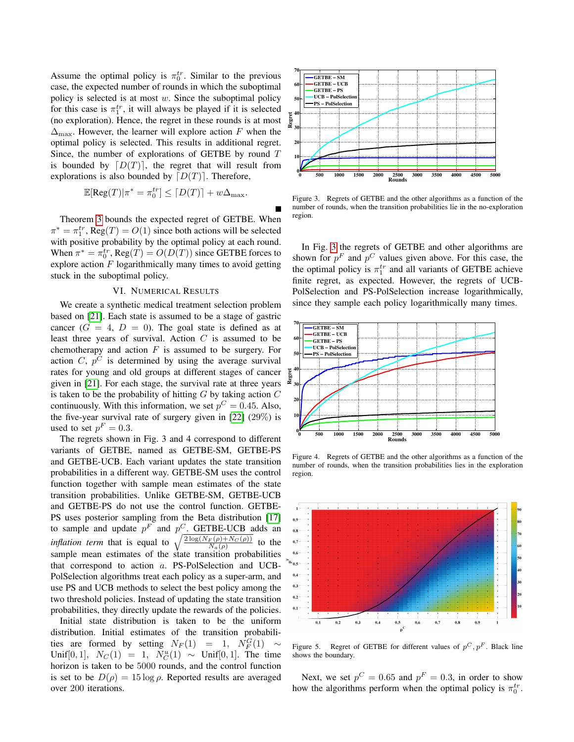Assume the optimal policy is  $\pi_0^{tr}$ . Similar to the previous case, the expected number of rounds in which the suboptimal policy is selected is at most  $w$ . Since the suboptimal policy for this case is  $\pi_1^{tr}$ , it will always be played if it is selected (no exploration). Hence, the regret in these rounds is at most  $\Delta_{\text{max}}$ . However, the learner will explore action F when the optimal policy is selected. This results in additional regret. Since, the number of explorations of GETBE by round T is bounded by  $[D(T)]$ , the regret that will result from explorations is also bounded by  $[D(T)]$ . Therefore,

$$
\mathbb{E}[\mathrm{Reg}(T)|\pi^* = \pi_0^{tr}] \leq \lceil D(T) \rceil + w\Delta_{\max}.
$$

Theorem [3](#page-9-7) bounds the expected regret of GETBE. When  $\pi^* = \pi_1^{tr}$ , Reg $(T) = O(1)$  since both actions will be selected with positive probability by the optimal policy at each round. When  $\pi^* = \pi_0^{tr}$ , Reg $(T) = O(D(T))$  since GETBE forces to explore action  $F$  logarithmically many times to avoid getting stuck in the suboptimal policy.

#### VI. NUMERICAL RESULTS

<span id="page-11-0"></span>We create a synthetic medical treatment selection problem based on [\[21\]](#page-12-21). Each state is assumed to be a stage of gastric cancer  $(G = 4, D = 0)$ . The goal state is defined as at least three years of survival. Action  $C$  is assumed to be chemotherapy and action  $F$  is assumed to be surgery. For action C,  $p^C$  is determined by using the average survival rates for young and old groups at different stages of cancer given in [\[21\]](#page-12-21). For each stage, the survival rate at three years is taken to be the probability of hitting  $G$  by taking action  $C$ continuously. With this information, we set  $p^C = 0.45$ . Also, the five-year survival rate of surgery given in [\[22\]](#page-12-22) (29%) is used to set  $p^F = 0.3$ .

The regrets shown in Fig. 3 and 4 correspond to different variants of GETBE, named as GETBE-SM, GETBE-PS and GETBE-UCB. Each variant updates the state transition probabilities in a different way. GETBE-SM uses the control function together with sample mean estimates of the state transition probabilities. Unlike GETBE-SM, GETBE-UCB and GETBE-PS do not use the control function. GETBE-PS uses posterior sampling from the Beta distribution [\[17\]](#page-12-16) to sample and update  $p^F$  and  $p^C$ . GETBE-UCB adds an *inflation term* that is equal to  $\sqrt{\frac{2 \log(N_F(\rho) + N_C(\rho))}{N(\rho)}}$  to the  $N_a(\rho)$ sample mean estimates of the state transition probabilities that correspond to action a. PS-PolSelection and UCB-PolSelection algorithms treat each policy as a super-arm, and use PS and UCB methods to select the best policy among the two threshold policies. Instead of updating the state transition probabilities, they directly update the rewards of the policies.

Initial state distribution is taken to be the uniform distribution. Initial estimates of the transition probabilities are formed by setting  $N_F(1) = 1, N_F^G(1) \sim$ Unif[0, 1],  $N_C(1) = 1$ ,  $N_C^{u}(1) \sim$  Unif[0, 1]. The time horizon is taken to be 5000 rounds, and the control function is set to be  $D(\rho) = 15 \log \rho$ . Reported results are averaged over 200 iterations.



<span id="page-11-1"></span>Figure 3. Regrets of GETBE and the other algorithms as a function of the number of rounds, when the transition probabilities lie in the no-exploration region.

In Fig. [3](#page-11-1) the regrets of GETBE and other algorithms are shown for  $p^F$  and  $p^C$  values given above. For this case, the the optimal policy is  $\pi_1^{tr}$  and all variants of GETBE achieve finite regret, as expected. However, the regrets of UCB-PolSelection and PS-PolSelection increase logarithmically, since they sample each policy logarithmically many times.



<span id="page-11-2"></span>Figure 4. Regrets of GETBE and the other algorithms as a function of the number of rounds, when the transition probabilities lies in the exploration region.



<span id="page-11-3"></span>Figure 5. Regret of GETBE for different values of  $p^C, p^F$ . Black line shows the boundary.

Next, we set  $p^C = 0.65$  and  $p^F = 0.3$ , in order to show how the algorithms perform when the optimal policy is  $\pi_0^{tr}$ .